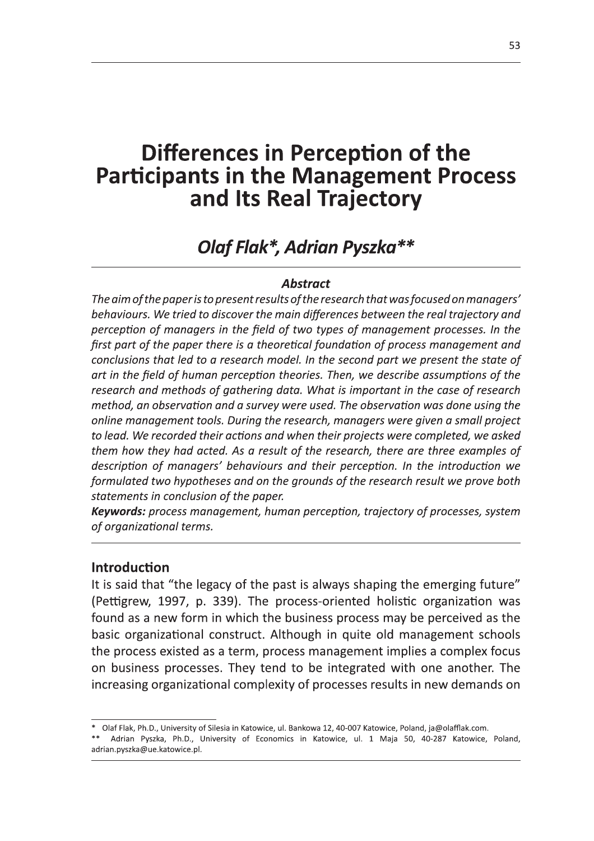# Differences in Perception of the **Participants in the Management Process** and Its Real Trajectory

# Olaf Flak\*, Adrian Pyszka\*\*

#### **Abstract**

The aim of the paper is to present results of the research that was focused on managers' behaviours. We tried to discover the main differences between the real trajectory and perception of managers in the field of two types of management processes. In the first part of the paper there is a theoretical foundation of process management and conclusions that led to a research model. In the second part we present the state of art in the field of human perception theories. Then, we describe assumptions of the research and methods of gathering data. What is important in the case of research method, an observation and a survey were used. The observation was done using the online management tools. During the research, managers were given a small project to lead. We recorded their actions and when their projects were completed, we asked them how they had acted. As a result of the research, there are three examples of description of managers' behaviours and their perception. In the introduction we formulated two hypotheses and on the grounds of the research result we prove both statements in conclusion of the paper.

Keywords: process management, human perception, trajectory of processes, system of organizational terms.

#### **Introduction**

It is said that "the legacy of the past is always shaping the emerging future" (Pettigrew, 1997, p. 339). The process-oriented holistic organization was found as a new form in which the business process may be perceived as the basic organizational construct. Although in quite old management schools the process existed as a term, process management implies a complex focus on business processes. They tend to be integrated with one another. The increasing organizational complexity of processes results in new demands on

<sup>\*</sup> Olaf Flak, Ph.D., University of Silesia in Katowice, ul. Bankowa 12, 40-007 Katowice, Poland, ja@olafflak.com.

<sup>\*\*</sup> Adrian Pyszka, Ph.D., University of Economics in Katowice, ul. 1 Maja 50, 40-287 Katowice, Poland, adrian.pyszka@ue.katowice.pl.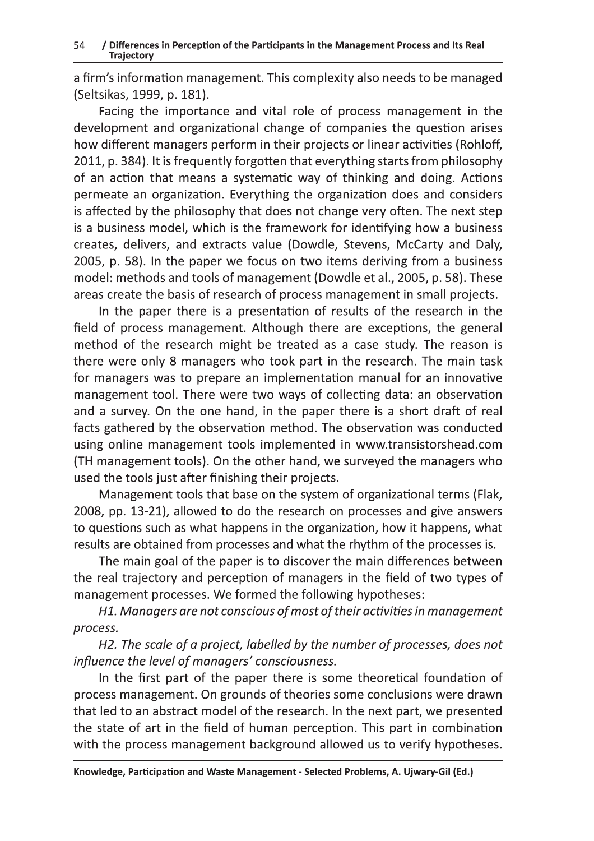a firm's information management. This complexity also needs to be managed (Seltsikas, 1999, p. 181).

Facing the importance and vital role of process management in the development and organizational change of companies the question arises how different managers perform in their projects or linear activities (Rohloff, 2011, p. 384). It is frequently forgotten that everything starts from philosophy of an action that means a systematic way of thinking and doing. Actions permeate an organization. Everything the organization does and considers is affected by the philosophy that does not change very often. The next step  $\hspace{0.1mm}$ is a business model, which is the framework for identifying how a business creates, delivers, and extracts value (Dowdle, Stevens, McCarty and Daly, 2005, p. 58). In the paper we focus on two items deriving from a business model: methods and tools of management (Dowdle et al., 2005, p. 58). These areas create the basis of research of process management in small projects.

In the paper there is a presentation of results of the research in the  $\,$ field of process management. Although there are exceptions, the general method of the research might be treated as a case study. The reason is there were only 8 managers who took part in the research. The main task  $\hspace{0.1mm}$ for managers was to prepare an implementation manual for an innovative management tool. There were two ways of collecting data: an observation and a survey. On the one hand, in the paper there is a short draft of real facts gathered by the observation method. The observation was conducted using online management tools implemented in www.transistorshead.com (TH management tools). On the other hand, we surveyed the managers who used the tools just after finishing their projects.

Management tools that base on the system of organizational terms (Flak, 2008, pp. 13-21), allowed to do the research on processes and give answers to questions such as what happens in the organization, how it happens, what results are obtained from processes and what the rhythm of the processes is.

The main goal of the paper is to discover the main differences between the real trajectory and perception of managers in the field of two types of management processes. We formed the following hypotheses:

H1. Managers are not conscious of most of their activities in management process.

H2. The scale of a project, labelled by the number of processes, does not influence the level of managers' consciousness.

re is some theoretical foundation of<br>neories some conclusions were drawn<br>search. In the next part, we presented<br>perception. This part in combination<br>bund allowed us to verify hypotheses.<br>tt - Selected Problems, A. Ujwary-G In the first part of the paper there is some theoretical foundation of process management. On grounds of theories some conclusions were drawn that led to an abstract model of the research. In the next part, we presented  $\;$ the state of art in the field of human perception. This part in combination  $\overline{\phantom{a}}$ with the process management background allowed us to verify hypotheses.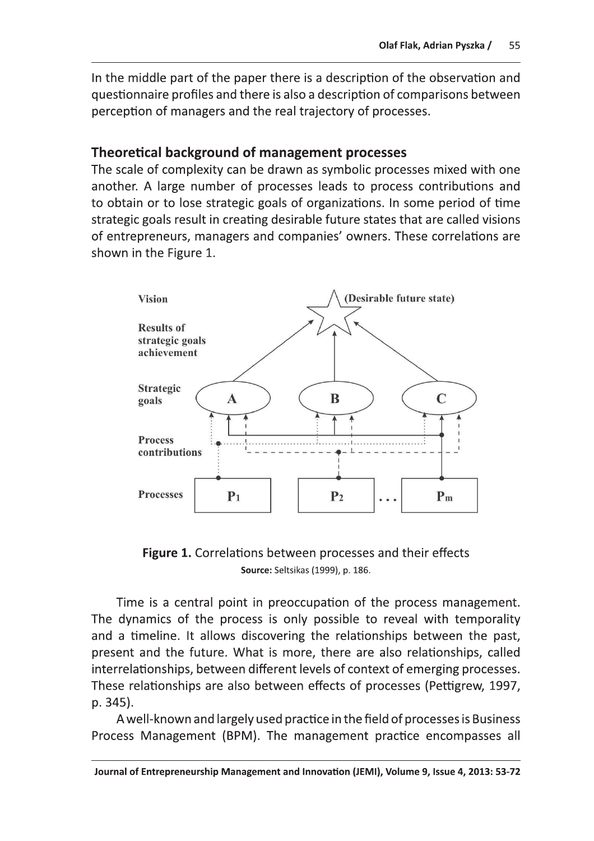In the middle part of the paper there is a description of the observation and questionnaire profiles and there is also a description of comparisons between perception of managers and the real trajectory of processes.

## **Theoretical background of management processes**

The scale of complexity can be drawn as symbolic processes mixed with one another. A large number of processes leads to process contributions and to obtain or to lose strategic goals of organizations. In some period of time strategic goals result in creating desirable future states that are called visions of entrepreneurs, managers and companies' owners. These correlations are shown in the Figure 1.



**Figure 1.** Correlations between processes and their effects Source: Seltsikas (1999), p. 186.

Time is a central point in preoccupation of the process management. The dynamics of the process is only possible to reveal with temporality and a timeline. It allows discovering the relationships between the past, present and the future. What is more, there are also relationships, called interrelationships, between different levels of context of emerging processes. These relationships are also between effects of processes (Pettigrew, 1997, p. 345).

A well-known and largely used practice in the field of processes is Business Process Management (BPM). The management practice encompasses all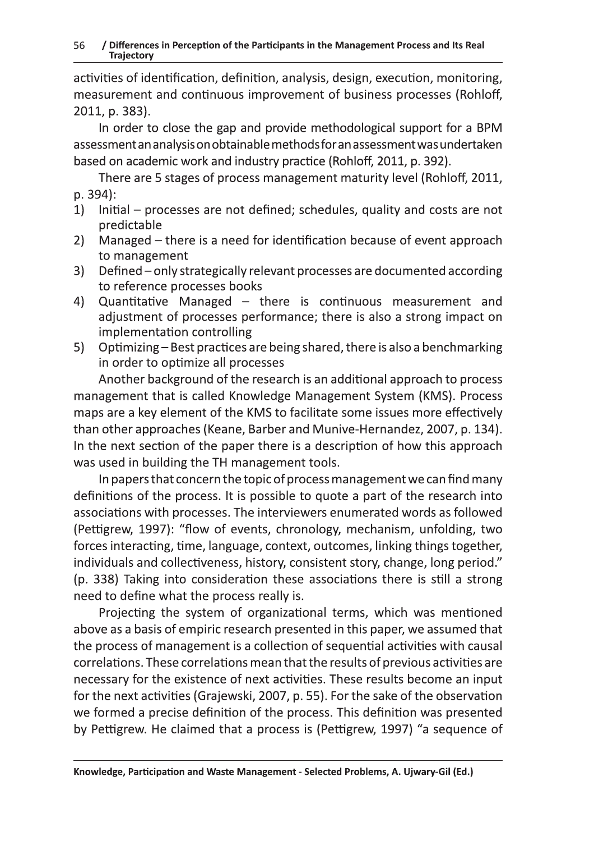$\overline{\text{actv}}$ ities of identification, definition, analysis, design, execution, monitoring, measurement and continuous improvement of business processes (Rohloff, 2011, p. 383).

In order to close the gap and provide methodological support for a BPM assessment an analysis on obtainable methods for an assessment was undertaken based on academic work and industry practice (Rohloff, 2011, p. 392).

There are 5 stages of process management maturity level (Rohloff, 2011, p. 394):<br>...

- $1)$ Initial – processes are not defined; schedules, quality and costs are not predictable
- $2)$ Managed – there is a need for identification because of event approach to management<br>-
- $3)$ Defined – only strategically relevant processes are documented according to reference processes books
- 4) Quantitative Managed – there is continuous measurement and adjustment of processes performance; there is also a strong impact on Implementation controlling
- $5)$ Optimizing – Best practices are being shared, there is also a benchmarking in order to optimize all processes

Another background of the research is an additional approach to process  $\;$ management that is called Knowledge Management System (KMS). Process maps are a key element of the KMS to facilitate some issues more effectively than other approaches (Keane, Barber and Munive-Hernandez, 2007, p. 134). In the next section of the paper there is a description of how this approach  $\blacksquare$ was used in building the TH management tools.  $\;$ 

In papers that concern the topic of process management we can find many  $\;$ definitions of the process. It is possible to quote a part of the research into associations with processes. The interviewers enumerated words as followed (Pettigrew, 1997): "flow of events, chronology, mechanism, unfolding, two forces interacting, time, language, context, outcomes, linking things together, individuals and collectiveness, history, consistent story, change, long period."  $\,$  $(p. \; 338)$  Taking into consideration these associations there is still a strong need to define what the process really is.

ivities. These results become an input<br>p. 55). For the sake of the observation<br>process. This definition was presented<br>ss is (Pettigrew, 1997) "a sequence of<br>tt - Selected Problems, A. Ujwary-Gil (Ed.) Projecting the system of organizational terms, which was mentioned above as a basis of empiric research presented in this paper, we assumed that the process of management is a collection of sequential activities with causal  $\;$ correlations. These correlations mean that the results of previous activities are necessary for the existence of next activities. These results become an input for the next activities (Grajewski, 2007, p. 55). For the sake of the observation we formed a precise definition of the process. This definition was presented by Pettigrew. He claimed that a process is (Pettigrew, 1997) "a sequence of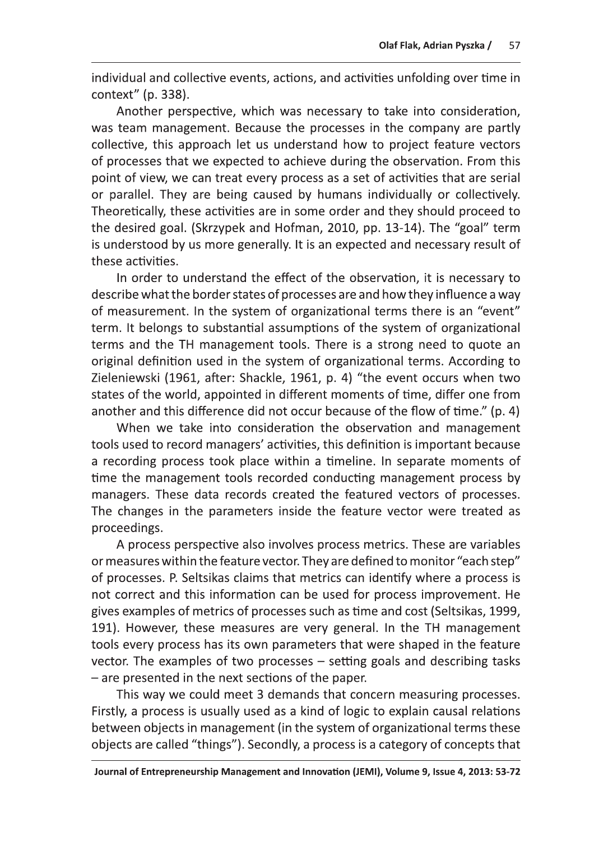Olaf Flak, Adrian Pyszka / 57<br>
individual and collective events, actions, and activities unfolding over time in<br>
context" (p. 338).<br>
Another perspective, which was necessary to take into consideration,<br>
was team management point of view, we can treat every process as a set of activities that are serial or parallel. They are being caused by humans individually or collectively. Theoretically, these activities are in some order and they should proceed to the desired goal. (Skrzypek and Hofman, 2010, pp. 13-14). The "goal" term is understood by us more generally. It is an expected and necessary result of these activities.

In order to understand the effect of the observation, it is necessary to describe what the border states of processes are and how they influence a way of measurement. In the system of organizational terms there is an "event" term. It belongs to substantial assumptions of the system of organizational terms and the TH management tools. There is a strong need to quote an original definition used in the system of organizational terms. According to Zieleniewski (1961, after: Shackle, 1961, p. 4) "the event occurs when two states of the world, appointed in different moments of time, differ one from another and this difference did not occur because of the flow of time." (p. 4)

When we take into consideration the observation and management tools used to record managers' activities, this definition is important because a recording process took place within a timeline. In separate moments of time the management tools recorded conducting management process by managers. These data records created the featured vectors of processes. The changes in the parameters inside the feature vector were treated as proceedings.

A process perspective also involves process metrics. These are variables or measures within the feature vector. They are defined to monitor "each step" of processes. P. Seltsikas claims that metrics can identify where a process is not correct and this information can be used for process improvement. He gives examples of metrics of processes such as time and cost (Seltsikas, 1999, 191). However, these measures are very general. In the TH management tools every process has its own parameters that were shaped in the feature vector. The examples of two processes  $-$  setting goals and describing tasks  $-$  are presented in the next sections of the paper.

This way we could meet 3 demands that concern measuring processes. Firstly, a process is usually used as a kind of logic to explain causal relations between objects in management (in the system of organizational terms these objects are called "things"). Secondly, a process is a category of concepts that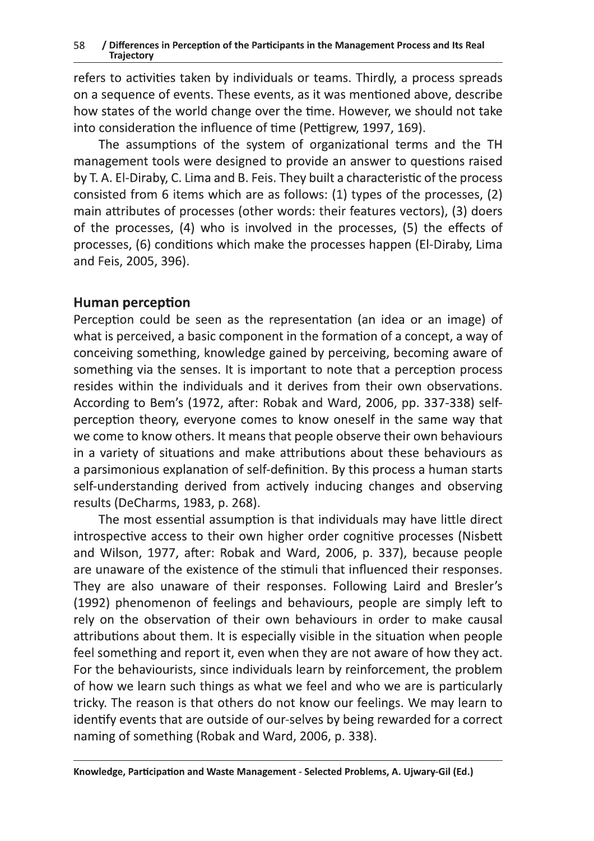refers to activities taken by individuals or teams. Thirdly, a process spreads on a sequence of events. These events, as it was mentioned above, describe how states of the world change over the time. However, we should not take  $\overline{1}$ nto consideration the influence of time (Pettigrew, 1997, 169).

The assumptions of the system of organizational terms and the TH management tools were designed to provide an answer to questions raised by T. A. El-Diraby, C. Lima and B. Feis. They built a characteristic of the process consisted from 6 items which are as follows: (1) types of the processes, (2)  $\,$ main attributes of processes (other words: their features vectors), (3) doers of the processes, (4) who is involved in the processes, (5) the effects of processes, (6) conditions which make the processes happen (El-Diraby, Lima and Feis, 2005, 396).

# Human perception

Perception could be seen as the representation (an idea or an image) of what is perceived, a basic component in the formation of a concept, a way of  $\,$ conceiving something, knowledge gained by perceiving, becoming aware of something via the senses. It is important to note that a perception process  $resides$  within the individuals and it derives from their own observations. According to Bem's (1972, after: Robak and Ward, 2006, pp. 337-338) self- $\,$ perception theory, everyone comes to know oneself in the same way that we come to know others. It means that people observe their own behaviours  $\blacksquare$ in a variety of situations and make attributions about these behaviours as  $\,$ a parsimonious explanation of self-definition. By this process a human starts self-understanding derived from actively inducing changes and observing results (DeCharms, 1983, p. 268).

Hearn by reinforcement, the problem<br>we feel and who we are is particularly<br>t know our feelings. We may learn to<br>selves by being rewarded for a correct<br>l, 2006, p. 338).<br>tt - Selected Problems, A. Ujwary-Gil (Ed.) The most essential assumption is that individuals may have little direct  $\blacksquare$  $\overline{\phantom{a}}$  introspective access to their own higher order cognitive processes (Nisbett and Wilson, 1977, after: Robak and Ward, 2006, p. 337), because people are unaware of the existence of the stimuli that influenced their responses. They are also unaware of their responses. Following Laird and Bresler's (1992) phenomenon of feelings and behaviours, people are simply left to rely on the observation of their own behaviours in order to make causal attributions about them. It is especially visible in the situation when people feel something and report it, even when they are not aware of how they act. For the behaviourists, since individuals learn by reinforcement, the problem of how we learn such things as what we feel and who we are is particularly tricky. The reason is that others do not know our feelings. We may learn to identify events that are outside of our-selves by being rewarded for a correct  $\blacksquare$ naming of something (Robak and Ward, 2006, p. 338).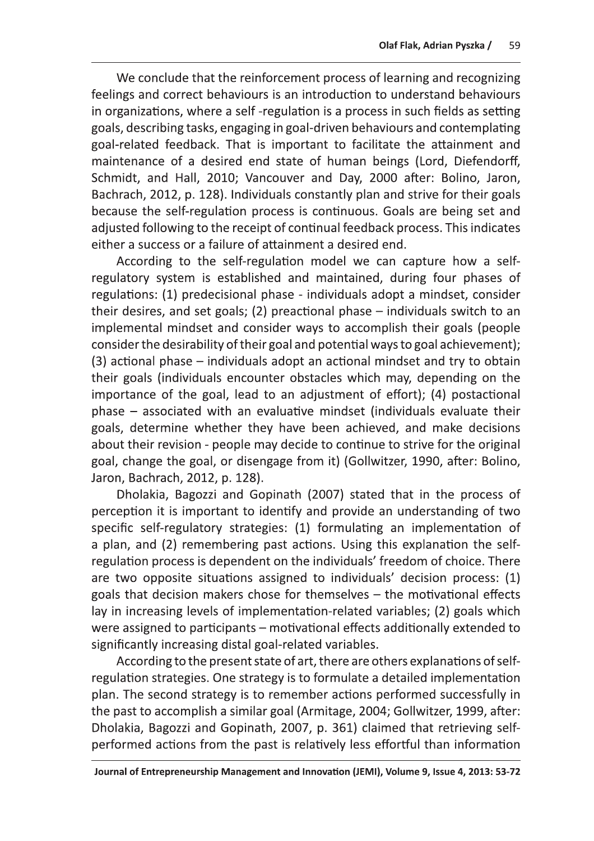Olaf Flak, Adrian Pyszka / 59<br>We conclude that the reinforcement process of learning and recognizing<br>feelings and correct behaviours is an introduction to understand behaviours<br>in organizations, where a self-regulation is Schmidt, and Hall, 2010; Vancouver and Day, 2000 after: Bolino, Jaron, Bachrach, 2012, p. 128). Individuals constantly plan and strive for their goals because the self-regulation process is continuous. Goals are being set and adjusted following to the receipt of continual feedback process. This indicates either a success or a failure of attainment a desired end.

According to the self-regulation model we can capture how a selfregulatory system is established and maintained, during four phases of regulations: (1) predecisional phase - individuals adopt a mindset, consider their desires, and set goals; (2) preactional phase  $-$  individuals switch to an implemental mindset and consider ways to accomplish their goals (people consider the desirability of their goal and potential ways to goal achievement);  $(3)$  actional phase – individuals adopt an actional mindset and try to obtain their goals (individuals encounter obstacles which may, depending on the importance of the goal, lead to an adjustment of effort); (4) postactional  $phase - associated with an evaluate minister and and the same.$  phase  $-$  associated with an evaluative mindset (individuals evaluate their goals, determine whether they have been achieved, and make decisions about their revision - people may decide to continue to strive for the original Implemental miniser and consider ways to accomplish their goals (people<br>consider the desirability of their goal and potential ways to goal achievement);<br>(3) actional phase – individuals adopt an actional miniser and try to

lay in increasing levels of implementation-related variables; (2) goals which were assigned to participants  $-$  motivational effects additionally extended to significantly increasing distal goal-related variables.

According to the present state of art, there are others explanations of selfregulation strategies. One strategy is to formulate a detailed implementation<br>plan. The second strategy is to remember actions performed successfully in are two opposite situations assigned to individuals decision process: (1)<br>goals that decision makers chose for themselves – the motivational effects<br>lay in increasing levels of implementation-related variables; (2) goals w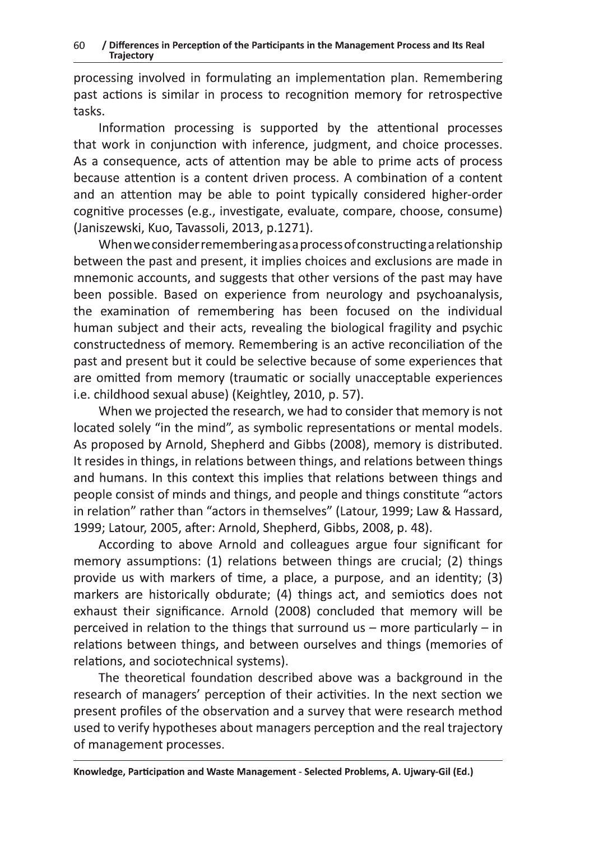processing involved in formulating an implementation plan. Remembering past actions is similar in process to recognition memory for retrospective tasks.

Information processing is supported by the attentional processes that work in conjunction with inference, judgment, and choice processes. As a consequence, acts of attention may be able to prime acts of process because attention is a content driven process. A combination of a content and an attention may be able to point typically considered higher-order cognitive processes (e.g., investigate, evaluate, compare, choose, consume) (Janiszewski, Kuo, Tavassoli, 2013, p.1271).

When we consider remembering as a process of constructing a relationship between the past and present, it implies choices and exclusions are made in mnemonic accounts, and suggests that other versions of the past may have been possible. Based on experience from neurology and psychoanalysis, the examination of remembering has been focused on the individual human subject and their acts, revealing the biological fragility and psychic constructedness of memory. Remembering is an active reconciliation of the past and present but it could be selective because of some experiences that are omitted from memory (traumatic or socially unacceptable experiences i.e. childhood sexual abuse) (Keightley, 2010, p. 57).

When we projected the research, we had to consider that memory is not located solely "in the mind", as symbolic representations or mental models. As proposed by Arnold, Shepherd and Gibbs (2008), memory is distributed. It resides in things, in relations between things, and relations between things and humans. In this context this implies that relations between things and people consist of minds and things, and people and things constitute "actors in relation" rather than "actors in themselves" (Latour, 1999; Law & Hassard, 1999; Latour, 2005, after: Arnold, Shepherd, Gibbs, 2008, p. 48).

According to above Arnold and colleagues argue four significant for memory assumptions: (1) relations between things are crucial; (2) things provide us with markers of time, a place, a purpose, and an identity; (3) markers are historically obdurate; (4) things act, and semiotics does not exhaust their significance. Arnold (2008) concluded that memory will be perceived in relation to the things that surround us  $-$  more particularly  $-$  in relations between things, and between ourselves and things (memories of relations, and sociotechnical systems).

The theoretical foundation described above was a background in the research of managers' perception of their activities. In the next section we present profiles of the observation and a survey that were research method used to verify hypotheses about managers perception and the real trajectory of management processes.

Knowledge, Participation and Waste Management - Selected Problems, A. Ujwary-Gil (Ed.)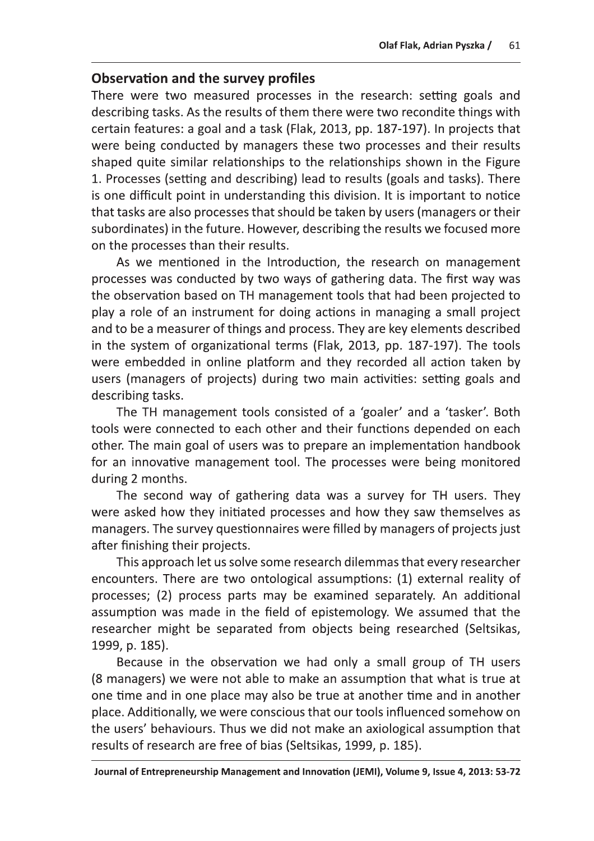# he survey profiles

Observation and the survey profiles<br>
() Observation and the survey profiles<br>
There were two measured processes in the research: setting goals and<br>
describing tasks. As the results of them there were two recondite things wi There were two measured processes in the research: setting goals and describing tasks. As the results of them there were two recondite things with Olaf Flak, Adrian Pyszka / 61<br>
Observation and the survey profiles<br>
There were two measured processes in the research: setting goals and<br>
describing tasks. As the results of them there were two recondite things with<br>
certa

that tasks are also processes that should be taken by users (managers or their<br>subordinates) in the future. However, describing the results we focused more<br>on the processes than their results.<br>As we mentioned in the Introd

The second way of gathering data was a survey for TH users. They were asked how they initiated processes and how they saw themselves as managers. The survey questionnaires were filled by managers of projects just

after finishing their projects.<br>This approach let us solve some research dilemmas that every researcher order. The main goal of usets was to prepare an impementation nanooox<br>for an innovative management tool. The processes were being monitored<br>during 2 months.<br>The second way of gathering data was a survey for TH users. They<br>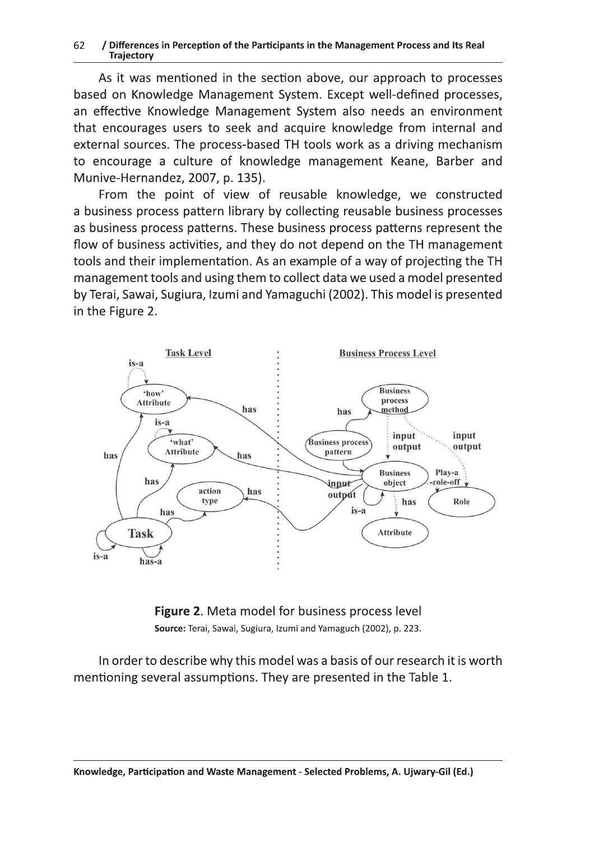#### 62 / Differences in Perception of the Participants in the Management Process and its Real<br>Trajectory  $\alpha$  in proportion of the participants in the Management Presess and Its Real section of of Binerences in referencing material depends in the management ribeess and its near<br>Trajectory  $k$ srmnal $i$

As it was mentioned in the section above, our approach to processes based on Knowledge Management System. Except well-defined processes, an effective Knowledge Management System also needs an environment that encourages users to seek and acquire knowledge from internal and external sources. The process-based TH tools work as a driving mechanism to encourage a culture of knowledge management Keane, Barber and Munive-Hernandez, 2007, p. 135). xxrsnockpanpulodepnpunktor in the state of the state of the contract of the contract of the contract of the contract of the contract of the contract of the contract of the contract of the contract of the contract of the co za on knowledge ividilagement bysiem. Except wen defined processes, selmood. The process becal  $T$ l tools usuk as a driving mochanism  $\epsilon$ niai sources. The process-based TIT tools work as a diffing inecriamsni

From the point of view of reusable knowledge, we constructed a business process pattern library by collecting reusable business processes as business process patterns. These business process patterns represent the flow of business activities, and they do not depend on the TH management  $\;$ tools and their implementation. As an example of a way of projecting the TH management tools and using them to collect data we used a model presented by Terai, Sawai, Sugiura, Izumi and Yamaguchi (2002). This model is presented oxystems and the Figure 2. All the Signal stock of the Signal state of the Signal stock of the Signal state of the Signal state of the Signal state of the Signal state of the Signal state of the Signal state of the Signal lmmurandistications.html managers.html managers.html managers are also the state of the state of the state of <br>International managers are also the state of the state of the state of the state of the state of the state of  $m_{\rm F}$  must be now that  $m_{\rm F}$  and  $m_{\rm F}$  and  $m_{\rm F}$  are constructed xponetos process patternor mese washless process patterns represent the v or business activities, and they do not depend on the TH management magament tools and doing them to concet data are been a model presented. nvltlasvinnasvanltynmutationoppwmnltynmutationoppwmnltynmutationoppwmnltynmutationen and and and and and and a<br>The contract of the contract of the contract of the contract of the contract of the contract of the contract o





are presented in the Table 1.<br>
It - Selected Problems, A. Ujwary-Gil (Ed.) In order to describe why this model was a basis of our research it is worth  $\overline{a}$ mentioning several assumptions. They are presented in the Table  $1. \ \ }$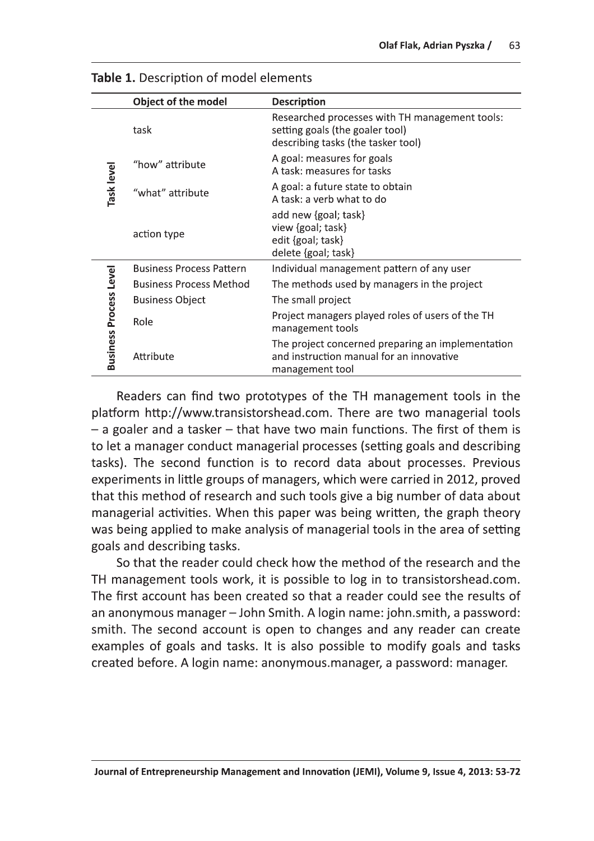|                               | Table 1. Description of model elements |                                                                                                                         |
|-------------------------------|----------------------------------------|-------------------------------------------------------------------------------------------------------------------------|
|                               | Object of the model                    | <b>Description</b>                                                                                                      |
|                               | task                                   | Researched processes with TH management tools:<br>setting goals (the goaler tool)<br>describing tasks (the tasker tool) |
|                               | "how" attribute                        | A goal: measures for goals<br>A task: measures for tasks                                                                |
| Task level                    | "what" attribute                       | A goal: a future state to obtain<br>A task: a verb what to do                                                           |
|                               | action type                            | add new {goal; task}<br>view {goal; task}<br>edit {goal; task}<br>delete {goal; task}                                   |
|                               | <b>Business Process Pattern</b>        | Individual management pattern of any user                                                                               |
|                               | <b>Business Process Method</b>         | The methods used by managers in the project                                                                             |
|                               | <b>Business Object</b>                 | The small project                                                                                                       |
|                               | Role                                   | Project managers played roles of users of the TH<br>management tools                                                    |
| <b>Business Process Level</b> | Attribute                              | The project concerned preparing an implementation<br>and instruction manual for an innovative<br>management tool        |

| <b>Table 1.</b> Description of model elements |  |
|-----------------------------------------------|--|
|-----------------------------------------------|--|

Readers can find two prototypes of the TH management tools in the platform http://www.transistorshead.com. There are two managerial tools  $-$  a goaler and a tasker  $-$  that have two main functions. The first of them is to let a manager conduct managerial processes (setting goals and describing tasks). The second function is to record data about processes. Previous experiments in little groups of managers, which were carried in 2012, proved that this method of research and such tools give a big number of data about managerial activities. When this paper was being written, the graph theory was being applied to make analysis of managerial tools in the area of setting goals and describing tasks.

So that the reader could check how the method of the research and the TH management tools work, it is possible to log in to transistorshead.com. The first account has been created so that a reader could see the results of an anonymous manager  $-$  John Smith. A login name: john.smith, a password: smith. The second account is open to changes and any reader can create examples of goals and tasks. It is also possible to modify goals and tasks created before. A login name: anonymous.manager, a password: manager.

Journal of Entrepreneurship Management and Innovation (JEMI), Volume 9, Issue 4, 2013: 53-72 Journal State Bou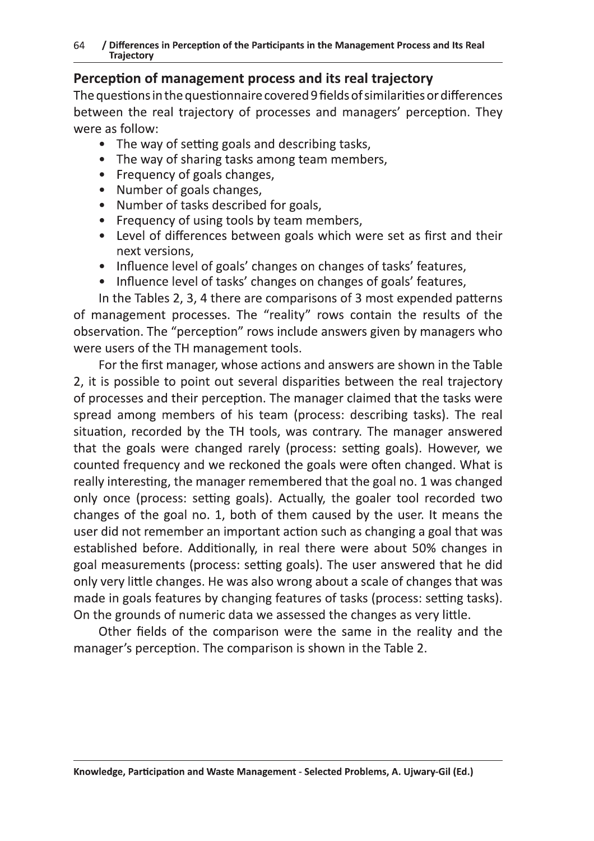# Perception of management process and its real traiectory

The questions in the questionnaire covered 9 fields of similarities or differences between the real trajectory of processes and managers' perception. They were as follow:

- $\bullet$  The way of setting goals and describing tasks.
- The way of sharing tasks among team members.
- Frequency of goals changes.
- Number of goals changes.
- Number of tasks described for goals.
- Frequency of using tools by team members.  $\bullet$
- Level of differences between goals which were set as first and their next versions.
- Influence level of goals' changes on changes of tasks' features.
- Influence level of tasks' changes on changes of goals'  $\bullet$

In the Tables 2, 3, 4 there are comparisons of 3 most expended patterns of management processes. The "reality" rows contain the results of the observation. The "perception" rows include answers given by managers who were users of the TH management tools.

For the first manager, whose actions and answers are shown in the Table 2. it is possible to point out several disparities between the real traiectory of processes and their perception. The manager claimed that the tasks were spread among members of his team (process: describing tasks). The real situation, recorded by the TH tools, was contrary. The manager answered that the goals were changed rarely (process: setting goals). However, we counted frequency and we reckoned the goals were often changed. What is really interesting, the manager remembered that the goal no. 1 was changed only once (process: setting goals). Actually, the goaler tool recorded two changes of the goal no. 1, both of them caused by the user. It means the user did not remember an important action such as changing a goal that was established before. Additionally, in real there were about 50% changes in goal measurements (process: setting goals). The user answered that he did only very little changes. He was also wrong about a scale of changes that was made in goals features by changing features of tasks (process: setting tasks). On the grounds of numeric data we assessed the changes as very little.

Other fields of the comparison were the same in the reality and the manager's perception. The comparison is shown in the Table 2.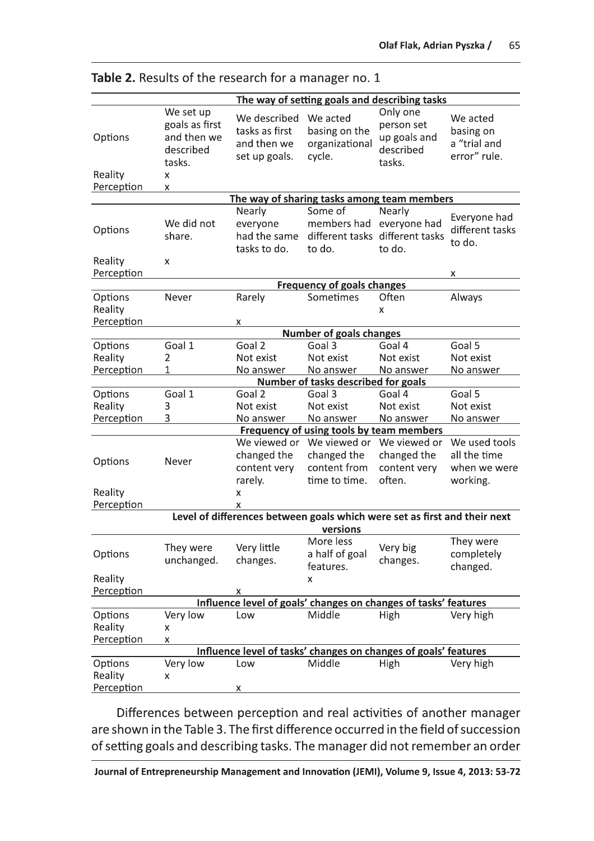|                                                                                       | The way of setting goals and describing tasks                          |                                                                 |                                                              |                                                               |                                                           |  |
|---------------------------------------------------------------------------------------|------------------------------------------------------------------------|-----------------------------------------------------------------|--------------------------------------------------------------|---------------------------------------------------------------|-----------------------------------------------------------|--|
| Options<br>Reality                                                                    | We set up<br>goals as first<br>and then we<br>described<br>tasks.<br>x | We described<br>tasks as first<br>and then we<br>set up goals.  | We acted<br>basing on the<br>organizational<br>cycle.        | Only one<br>person set<br>up goals and<br>described<br>tasks. | We acted<br>basing on<br>a "trial and<br>error" rule.     |  |
| Perception                                                                            | x                                                                      |                                                                 |                                                              |                                                               |                                                           |  |
| The way of sharing tasks among team members                                           |                                                                        |                                                                 |                                                              |                                                               |                                                           |  |
| Options                                                                               | We did not<br>share.                                                   | Nearly<br>everyone<br>had the same<br>tasks to do.              | Some of<br>members had<br>different tasks<br>to do.          | Nearly<br>everyone had<br>different tasks<br>to do.           | Everyone had<br>different tasks<br>to do.                 |  |
| Reality                                                                               | X                                                                      |                                                                 |                                                              |                                                               |                                                           |  |
| Perception                                                                            |                                                                        |                                                                 | <b>Frequency of goals changes</b>                            |                                                               | x                                                         |  |
| Options<br>Reality<br>Perception                                                      | Never                                                                  | Rarely                                                          | Sometimes                                                    | Often<br>x                                                    | Always                                                    |  |
|                                                                                       | x<br><b>Number of goals changes</b>                                    |                                                                 |                                                              |                                                               |                                                           |  |
| Options<br>Reality<br>Perception                                                      | Goal 1<br>2<br>1                                                       | Goal 2<br>Not exist<br>No answer                                | Goal 3<br>Not exist<br>No answer                             | Goal 4<br>Not exist<br>No answer                              | Goal 5<br>Not exist<br>No answer                          |  |
|                                                                                       |                                                                        |                                                                 | Number of tasks described for goals                          |                                                               |                                                           |  |
| Options<br>Reality<br>Perception                                                      | Goal 1<br>3<br>3                                                       | Goal 2<br>Not exist<br>No answer                                | Goal 3<br>Not exist<br>No answer                             | Goal 4<br>Not exist<br>No answer                              | Goal 5<br>Not exist<br>No answer                          |  |
|                                                                                       |                                                                        |                                                                 | Frequency of using tools by team members                     |                                                               |                                                           |  |
| Options                                                                               | Never                                                                  | We viewed or<br>changed the<br>content very<br>rarely.          | We viewed or<br>changed the<br>content from<br>time to time. | We viewed or<br>changed the<br>content very<br>often.         | We used tools<br>all the time<br>when we were<br>working. |  |
| Reality<br>Perception                                                                 |                                                                        | x<br>x                                                          |                                                              |                                                               |                                                           |  |
| Level of differences between goals which were set as first and their next<br>versions |                                                                        |                                                                 |                                                              |                                                               |                                                           |  |
| Options                                                                               | They were<br>unchanged.                                                | Very little<br>changes.                                         | More less<br>a half of goal<br>features.                     | Very big<br>changes.                                          | They were<br>completely<br>changed.                       |  |
| Reality                                                                               |                                                                        |                                                                 | x                                                            |                                                               |                                                           |  |
| Perception<br>x<br>Influence level of goals' changes on changes of tasks' features    |                                                                        |                                                                 |                                                              |                                                               |                                                           |  |
| Options<br>Reality<br>Perception                                                      | Very low<br>X.<br>x                                                    | Low                                                             | Middle                                                       | High                                                          | Very high                                                 |  |
|                                                                                       |                                                                        | Influence level of tasks' changes on changes of goals' features |                                                              |                                                               |                                                           |  |
| Options<br>Reality                                                                    | Very low<br>x                                                          | Low                                                             | Middle                                                       | High                                                          | Very high                                                 |  |
| Perception                                                                            |                                                                        | x                                                               |                                                              |                                                               |                                                           |  |

Table 2. Results of the research for a manager no. 1

Differences between perception and real activities of another manager are shown in the Table 3. The first difference occurred in the field of succession of setting goals and describing tasks. The manager did not remember an order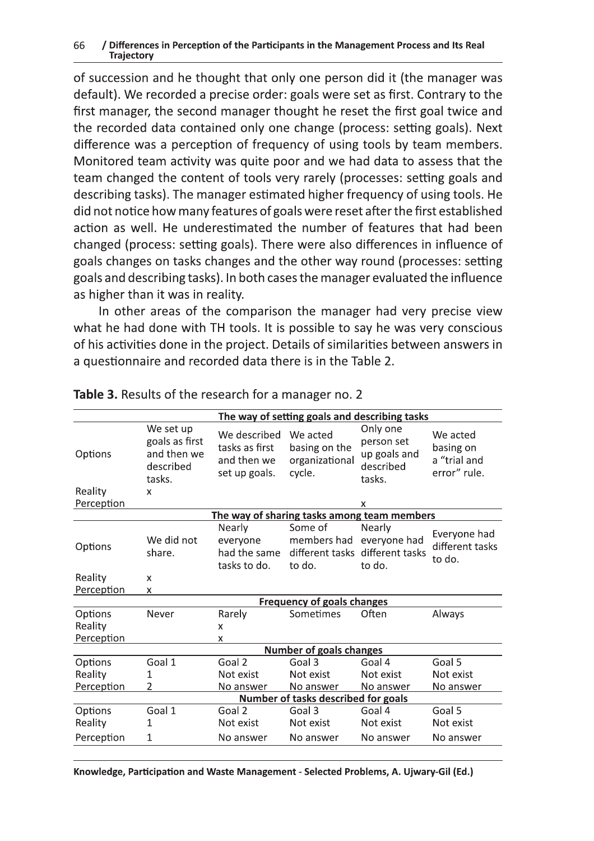#### / Differences in Perception of the Participants in the Management Process and Its Real 66 **Trajectory**

of succession and he thought that only one person did it (the manager was default). We recorded a precise order: goals were set as first. Contrary to the first manager, the second manager thought he reset the first goal twice and the recorded data contained only one change (process: setting goals). Next difference was a perception of frequency of using tools by team members. Monitored team activity was quite poor and we had data to assess that the team changed the content of tools very rarely (processes: setting goals and describing tasks). The manager estimated higher frequency of using tools. He did not notice how many features of goals were reset after the first established action as well. He underestimated the number of features that had been changed (process: setting goals). There were also differences in influence of goals changes on tasks changes and the other way round (processes: setting goals and describing tasks). In both cases the manager evaluated the influence as higher than it was in reality.

In other areas of the comparison the manager had very precise view what he had done with TH tools. It is possible to say he was very conscious of his activities done in the project. Details of similarities between answers in a questionnaire and recorded data there is in the Table 2.

|                                  |                                                                        |                                                                | The way of setting goals and describing tasks         |                                                                     |                                                       |  |  |
|----------------------------------|------------------------------------------------------------------------|----------------------------------------------------------------|-------------------------------------------------------|---------------------------------------------------------------------|-------------------------------------------------------|--|--|
| Options<br>Reality               | We set up<br>goals as first<br>and then we<br>described<br>tasks.<br>X | We described<br>tasks as first<br>and then we<br>set up goals. | We acted<br>basing on the<br>organizational<br>cycle. | Only one<br>person set<br>up goals and<br>described<br>tasks.       | We acted<br>basing on<br>a "trial and<br>error" rule. |  |  |
| Perception                       |                                                                        |                                                                |                                                       | X                                                                   |                                                       |  |  |
|                                  | The way of sharing tasks among team members                            |                                                                |                                                       |                                                                     |                                                       |  |  |
| Options                          | We did not<br>share.                                                   | Nearly<br>everyone<br>had the same<br>tasks to do.             | Some of<br>members had<br>to do.                      | Nearly<br>everyone had<br>different tasks different tasks<br>to do. | Everyone had<br>different tasks<br>to do.             |  |  |
| Reality                          | X                                                                      |                                                                |                                                       |                                                                     |                                                       |  |  |
| Perception                       | X                                                                      |                                                                |                                                       |                                                                     |                                                       |  |  |
|                                  | <b>Frequency of goals changes</b>                                      |                                                                |                                                       |                                                                     |                                                       |  |  |
| Options<br>Reality<br>Perception | Never                                                                  | Rarely<br>$\mathsf{x}$<br>X                                    | Sometimes                                             | Often                                                               | <b>Always</b>                                         |  |  |
|                                  |                                                                        | <b>Number of goals changes</b>                                 |                                                       |                                                                     |                                                       |  |  |
| Options<br>Reality<br>Perception | Goal 1<br>1<br>2                                                       | Goal 2<br>Not exist<br>No answer                               | Goal 3<br>Not exist<br>No answer                      | Goal 4<br>Not exist<br>No answer                                    | Goal 5<br>Not exist<br>No answer                      |  |  |
|                                  | Number of tasks described for goals                                    |                                                                |                                                       |                                                                     |                                                       |  |  |
| Options<br>Reality<br>Perception | Goal 1<br>1<br>1                                                       | Goal 2<br>Not exist<br>No answer                               | Goal 3<br>Not exist<br>No answer                      | Goal 4<br>Not exist<br>No answer                                    | Goal 5<br>Not exist<br>No answer                      |  |  |
|                                  |                                                                        |                                                                |                                                       |                                                                     |                                                       |  |  |

#### Table 3. Results of the research for a manager no. 2

Knowledge, Participation and Waste Management - Selected Problems, A. Ujwary-Gil (Ed.)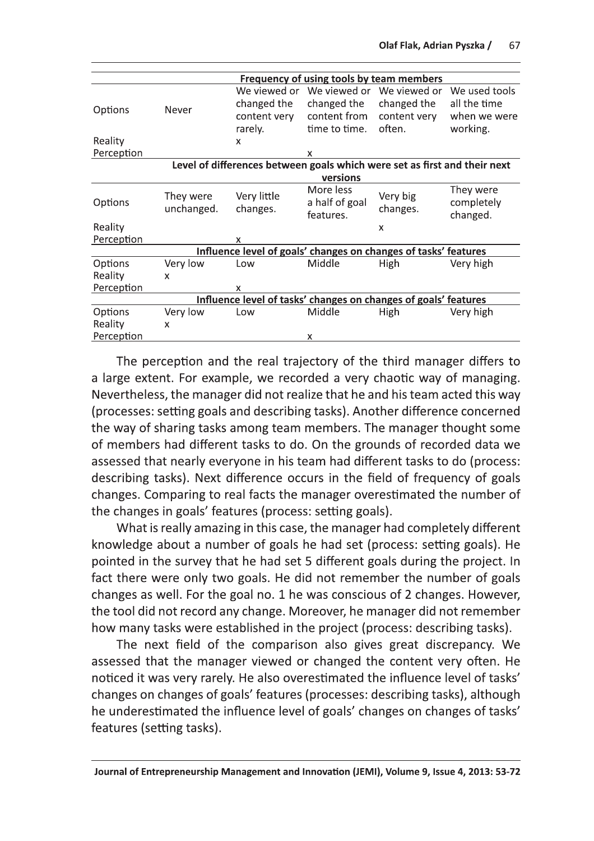|                                                                           | Frequency of using tools by team members |                         |                                          |                           |                                     |  |
|---------------------------------------------------------------------------|------------------------------------------|-------------------------|------------------------------------------|---------------------------|-------------------------------------|--|
|                                                                           |                                          | We viewed or            | We viewed or                             | We viewed or              | We used tools                       |  |
| Options                                                                   | Never                                    | changed the             | changed the                              | changed the               | all the time                        |  |
|                                                                           |                                          | content very            | content from                             | content very              | when we were                        |  |
|                                                                           |                                          | rarely.                 | time to time.                            | often.                    | working.                            |  |
| Reality                                                                   |                                          | x                       |                                          |                           |                                     |  |
| Perception                                                                |                                          |                         | x                                        |                           |                                     |  |
| Level of differences between goals which were set as first and their next |                                          |                         |                                          |                           |                                     |  |
|                                                                           |                                          |                         | versions                                 |                           |                                     |  |
| Options                                                                   | They were<br>unchanged.                  | Very little<br>changes. | More less<br>a half of goal<br>features. | Very big<br>changes.      | They were<br>completely<br>changed. |  |
| Reality                                                                   |                                          |                         |                                          | $\boldsymbol{\mathsf{x}}$ |                                     |  |
| Perception                                                                |                                          | X                       |                                          |                           |                                     |  |
| Influence level of goals' changes on changes of tasks' features           |                                          |                         |                                          |                           |                                     |  |
| Options                                                                   | Very low                                 | Low                     | Middle                                   | High                      | Very high                           |  |
| Reality                                                                   | X                                        |                         |                                          |                           |                                     |  |
| Perception                                                                |                                          | x                       |                                          |                           |                                     |  |
| Influence level of tasks' changes on changes of goals' features           |                                          |                         |                                          |                           |                                     |  |
| Options                                                                   | Very low                                 | Low                     | Middle                                   | High                      | Very high                           |  |
| Reality                                                                   | X                                        |                         |                                          |                           |                                     |  |
| Perception                                                                |                                          |                         | х                                        |                           |                                     |  |

The perception and the real trajectory of the third manager differs to a large extent. For example, we recorded a very chaotic way of managing. Nevertheless, the manager did not realize that he and his team acted this way (processes: setting goals and describing tasks). Another difference concerned the way of sharing tasks among team members. The manager thought some of members had different tasks to do. On the grounds of recorded data we assessed that nearly everyone in his team had different tasks to do (process: describing tasks). Next difference occurs in the field of frequency of goals changes. Comparing to real facts the manager overestimated the number of the changes in goals' features (process: setting goals).

What is really amazing in this case, the manager had completely different knowledge about a number of goals he had set (process: setting goals). He pointed in the survey that he had set 5 different goals during the project. In fact there were only two goals. He did not remember the number of goals changes as well. For the goal no. 1 he was conscious of 2 changes. However, the tool did not record any change. Moreover, he manager did not remember how many tasks were established in the project (process: describing tasks).

The next field of the comparison also gives great discrepancy. We assessed that the manager viewed or changed the content very often. He noticed it was very rarely. He also overestimated the influence level of tasks' changes on changes of goals' features (processes: describing tasks), although he underestimated the influence level of goals' changes on changes of tasks' features (setting tasks).

Journal of Entrepreneurship Management and Innovation (JEMI), Volume 9, Issue 4, 2013: 53-72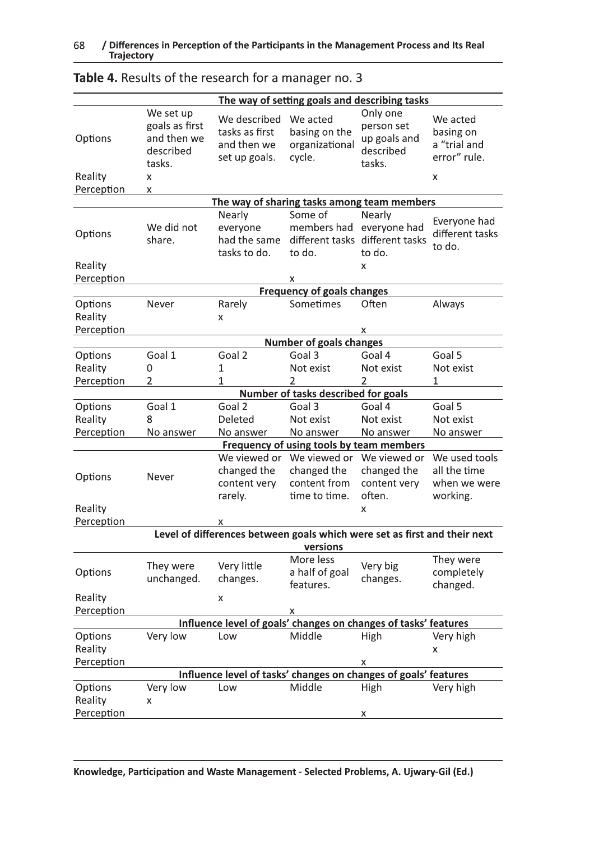|                                                                                       | The way of setting goals and describing tasks                               |                                                                 |                                                                                          |                                                                          |                                                            |  |  |
|---------------------------------------------------------------------------------------|-----------------------------------------------------------------------------|-----------------------------------------------------------------|------------------------------------------------------------------------------------------|--------------------------------------------------------------------------|------------------------------------------------------------|--|--|
| Options<br>Reality<br>Perception                                                      | We set up<br>goals as first<br>and then we<br>described<br>tasks.<br>x<br>X | We described<br>tasks as first<br>and then we<br>set up goals.  | We acted<br>basing on the<br>organizational<br>cycle.                                    | Only one<br>person set<br>up goals and<br>described<br>tasks.            | We acted<br>basing on<br>a "trial and<br>error" rule.<br>x |  |  |
|                                                                                       | The way of sharing tasks among team members                                 |                                                                 |                                                                                          |                                                                          |                                                            |  |  |
| Options<br>Reality                                                                    | We did not<br>share.                                                        | Nearly<br>everyone<br>had the same<br>tasks to do.              | Some of<br>members had<br>to do.                                                         | Nearly<br>everyone had<br>different tasks different tasks<br>to do.<br>X | Everyone had<br>different tasks<br>to do.                  |  |  |
| Perception                                                                            |                                                                             |                                                                 | x                                                                                        |                                                                          |                                                            |  |  |
| Options<br>Reality<br>Perception                                                      | Never                                                                       | Rarely<br>x                                                     | <b>Frequency of goals changes</b><br>Sometimes                                           | Often<br>х                                                               | Always                                                     |  |  |
|                                                                                       | <b>Number of goals changes</b>                                              |                                                                 |                                                                                          |                                                                          |                                                            |  |  |
| Options<br>Reality<br>Perception                                                      | Goal 1<br>0<br>2                                                            | Goal 2<br>$\mathbf{1}$<br>1                                     | Goal 3<br>Not exist<br>$\overline{2}$                                                    | Goal 4<br>Not exist<br>2                                                 | Goal 5<br>Not exist<br>1                                   |  |  |
|                                                                                       |                                                                             |                                                                 | Number of tasks described for goals                                                      |                                                                          |                                                            |  |  |
| Options<br>Reality<br>Perception                                                      | Goal 1<br>8<br>No answer                                                    | Goal 2<br>Deleted<br>No answer                                  | Goal 3<br>Not exist<br>No answer                                                         | Goal 4<br>Not exist<br>No answer                                         | Goal 5<br>Not exist<br>No answer                           |  |  |
| Options<br>Reality<br>Perception                                                      | Never                                                                       | We viewed or<br>changed the<br>content very<br>rarely.<br>x     | Frequency of using tools by team members<br>changed the<br>content from<br>time to time. | We viewed or We viewed or<br>changed the<br>content very<br>often.<br>x  | We used tools<br>all the time<br>when we were<br>working.  |  |  |
| Level of differences between goals which were set as first and their next<br>versions |                                                                             |                                                                 |                                                                                          |                                                                          |                                                            |  |  |
| Options<br>Reality                                                                    | They were<br>unchanged.                                                     | Very little<br>changes.<br>X                                    | More less<br>a half of goal<br>features.                                                 | Very big<br>changes.                                                     | They were<br>completely<br>changed.                        |  |  |
| Perception                                                                            |                                                                             |                                                                 | x                                                                                        |                                                                          |                                                            |  |  |
| Influence level of goals' changes on changes of tasks' features                       |                                                                             |                                                                 |                                                                                          |                                                                          |                                                            |  |  |
| Options<br>Reality<br>Perception                                                      | Very low                                                                    | Low                                                             | Middle                                                                                   | High<br>х                                                                | Very high<br>X                                             |  |  |
|                                                                                       |                                                                             | Influence level of tasks' changes on changes of goals' features |                                                                                          |                                                                          |                                                            |  |  |
| Options<br>Reality<br>Perception                                                      | Very low<br>x                                                               | Low                                                             | Middle                                                                                   | High<br>X                                                                | Very high                                                  |  |  |

# Table 4. Results of the research for a manager no. 3

Knowledge, Participation and Waste Management - Selected Problems, A. Ujwary-Gil (Ed.)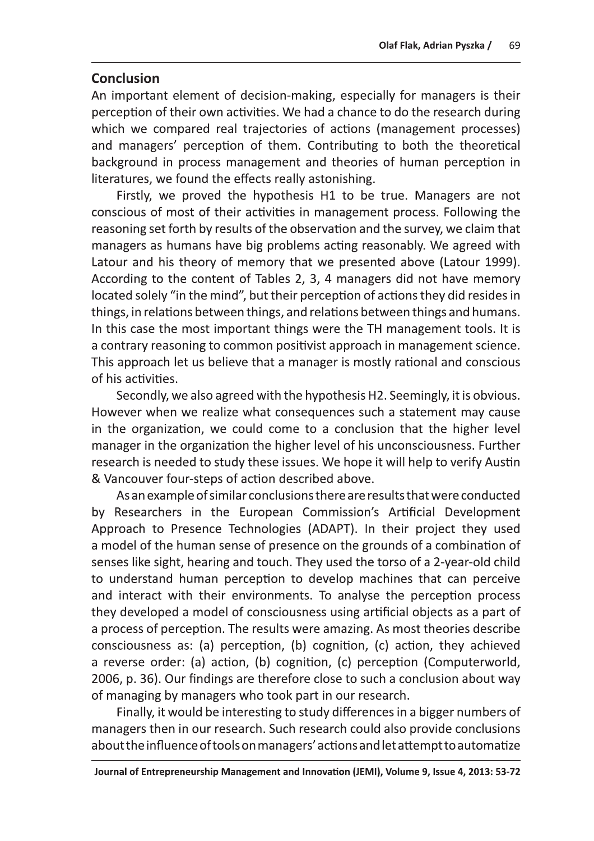Olaf Flak, Adrian Pyszka / 69<br>
Conclusion<br>
An important element of decision-making, especially for managers is their<br>
perception of their own activities. We had a chance to do the research during<br>
which we compared real tr literatures, we found the effects really astonishing.

Firstly, we proved the hypothesis  $H1$  to be true. Managers are not conscious of most of their activities in management process. Following the reasoning set forth by results of the observation and the survey, we claim that<br>managers as humans have big problems acting reasonably. We agreed with which we compared real trajectores of actions (management processes)<br>and mangers' perception of them. Contributing to both the theoretical<br>background in process management and theories of human perception in<br>literatures, w

However when we realize what consequences such a statement may cause in the organization, we could come to a conclusion that the higher level manager in the organization the higher level of his unconsciousness. Further research is needed to study these issues. We hope it will help to verify Austin & Vancouver four-steps of action described above.

As an example of similar conclusions there are results that were conducted by Researchers in the European Commission's Artificial Development Approach to Presence Technologies (ADAPT). In their project they used a model of the human sense of presence on the grounds of a combination of senses like sight, hearing and touch. They used the torso of a 2-year-old child to understand human perception to develop machines that can perceive and interact with their environments. To analyse the perception process they developed a model of consciousness using artificial objects as a part of a process of perception. The results were amazing. As most theories describe consciousness as: (a) perception, (b) cognition, (c) action, they achieved a reverse order: (a) action, (b) cognition, (c) perception (Computerworld, 2006, p. 36). Our findings are therefore close to such a conclusion about way of managing by managers who took part in our research.

Finally, it would be interesting to study differences in a bigger numbers of managers then in our research. Such research could also provide conclusions about the influence of tools on managers' actions and let attempt to automatize

Journal of Entrepreneurship Management and Innovation (JEMI), Volume 9, Issue 4, 2013: 53-72 Journal States (J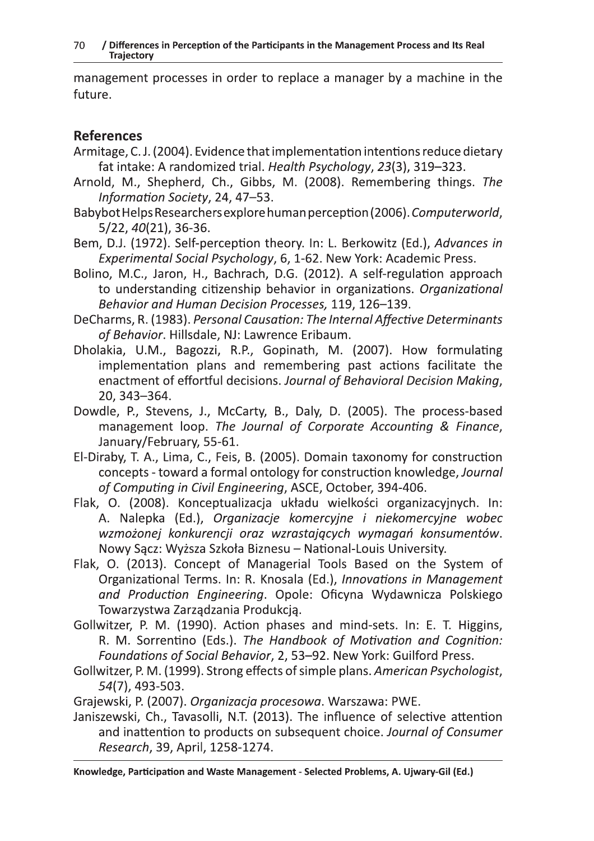management processes in order to replace a manager by a machine in the future.

## **References**

- Armitage, C. J. (2004). Evidence that implementation intentions reduce dietary fat intake: A randomized trial. Health Psychology, 23(3), 319-323.
- Arnold, M., Shepherd, Ch., Gibbs, M. (2008). Remembering things. The Information Society, 24, 47-53.
- Babybot Helps Researchers explore human perception (2006). Computerworld, 5/22, 40(21), 36-36.
- Bem, D.J. (1972). Self-perception theory. In: L. Berkowitz (Ed.), Advances in Experimental Social Psychology, 6, 1-62. New York: Academic Press.
- Bolino, M.C., Jaron, H., Bachrach, D.G. (2012). A self-regulation approach to understanding citizenship behavior in organizations. Organizational Behavior and Human Decision Processes, 119, 126-139.
- DeCharms, R. (1983). Personal Causation: The Internal Affective Determinants of Behavior. Hillsdale, NJ: Lawrence Eribaum.
- Dholakia, U.M., Bagozzi, R.P., Gopinath, M. (2007). How formulating implementation plans and remembering past actions facilitate the enactment of effortful decisions. Journal of Behavioral Decision Making, 20, 343-364.
- Dowdle, P., Stevens, J., McCarty, B., Daly, D. (2005). The process-based management loop. The Journal of Corporate Accounting & Finance, January/February, 55-61.
- El-Diraby, T. A., Lima, C., Feis, B. (2005). Domain taxonomy for construction concepts - toward a formal ontology for construction knowledge, Journal of Computing in Civil Engineering, ASCE, October, 394-406.
- Flak, O. (2008). Konceptualizacja układu wielkości organizacyjnych. In: A. Nalepka (Ed.), Organizacje komercyjne i niekomercyjne wobec wzmożonej konkurencji oraz wzrastających wymagań konsumentów. Nowy Sącz: Wyższa Szkoła Biznesu – National-Louis University.
- Flak, O. (2013). Concept of Managerial Tools Based on the System of Organizational Terms. In: R. Knosala (Ed.), Innovations in Management and Production Engineering. Opole: Oficyna Wydawnicza Polskiego Towarzystwa Zarządzania Produkcją.
- Gollwitzer, P. M. (1990). Action phases and mind-sets. In: E. T. Higgins, R. M. Sorrentino (Eds.). The Handbook of Motivation and Cognition: Foundations of Social Behavior, 2, 53-92. New York: Guilford Press.
- Gollwitzer, P. M. (1999). Strong effects of simple plans. American Psychologist, 54(7), 493-503.

Grajewski, P. (2007). Organizacja procesowa. Warszawa: PWE.

Janiszewski, Ch., Tavasolli, N.T. (2013). The influence of selective attention and inattention to products on subsequent choice. Journal of Consumer Research, 39, April, 1258-1274.

Knowledge, Participation and Waste Management - Selected Problems, A. Ujwary-Gil (Ed.)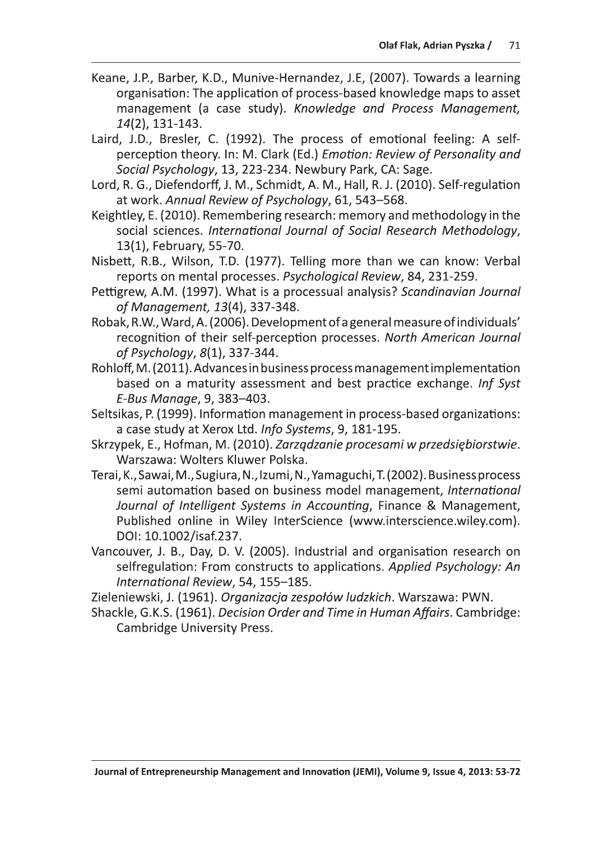- Keane, J.P., Barber, K.D., Munive-Hernandez, J.E. (2007). Towards a learning organisation: The application of process-based knowledge maps to asset management (a case study). Knowledge and Process Management, 14(2), 131-143.
- Laird, J.D., Bresler, C. (1992). The process of emotional feeling: A selfperception theory. In: M. Clark (Ed.) Emotion: Review of Personality and Social Psychology, 13, 223-234. Newbury Park, CA: Sage.
- Lord, R. G., Diefendorff, J. M., Schmidt, A. M., Hall, R. J. (2010). Self-regulation at work. Annual Review of Psychology, 61, 543-568.
- Keightley, E. (2010). Remembering research: memory and methodology in the social sciences. International Journal of Social Research Methodology, 13(1), February, 55-70.
- Nisbett, R.B., Wilson, T.D. (1977). Telling more than we can know: Verbal reports on mental processes. Psychological Review, 84, 231-259.
- Pettigrew, A.M. (1997). What is a processual analysis? Scandinavian Journal of Management, 13(4), 337-348.
- Robak, R.W., Ward, A. (2006). Development of a general measure of individuals' recognition of their self-perception processes. North American Journal of Psychology, 8(1), 337-344.
- Rohloff, M. (2011). Advances in business process management implementation based on a maturity assessment and best practice exchange. Inf Syst E-Bus Manage, 9, 383-403.
- Seltsikas, P. (1999). Information management in process-based organizations: a case study at Xerox Ltd. Info Systems, 9, 181-195.
- Skrzypek, E., Hofman, M. (2010). Zarządzanie procesami w przedsiębiorstwie. Warszawa: Wolters Kluwer Polska.
- Terai, K., Sawai, M., Sugiura, N., Izumi, N., Yamaguchi, T. (2002). Business process semi automation based on business model management, International Journal of Intelligent Systems in Accounting, Finance & Management, Published online in Wiley InterScience (www.interscience.wiley.com). DOI: 10.1002/isaf.237.
- Vancouver, J. B., Day, D. V. (2005). Industrial and organisation research on selfregulation: From constructs to applications. Applied Psychology: An International Review, 54, 155-185.

Zieleniewski, J. (1961). Organizacja zespołów ludzkich. Warszawa: PWN.

Shackle, G.K.S. (1961). Decision Order and Time in Human Affairs. Cambridge: **Cambridge University Press.**